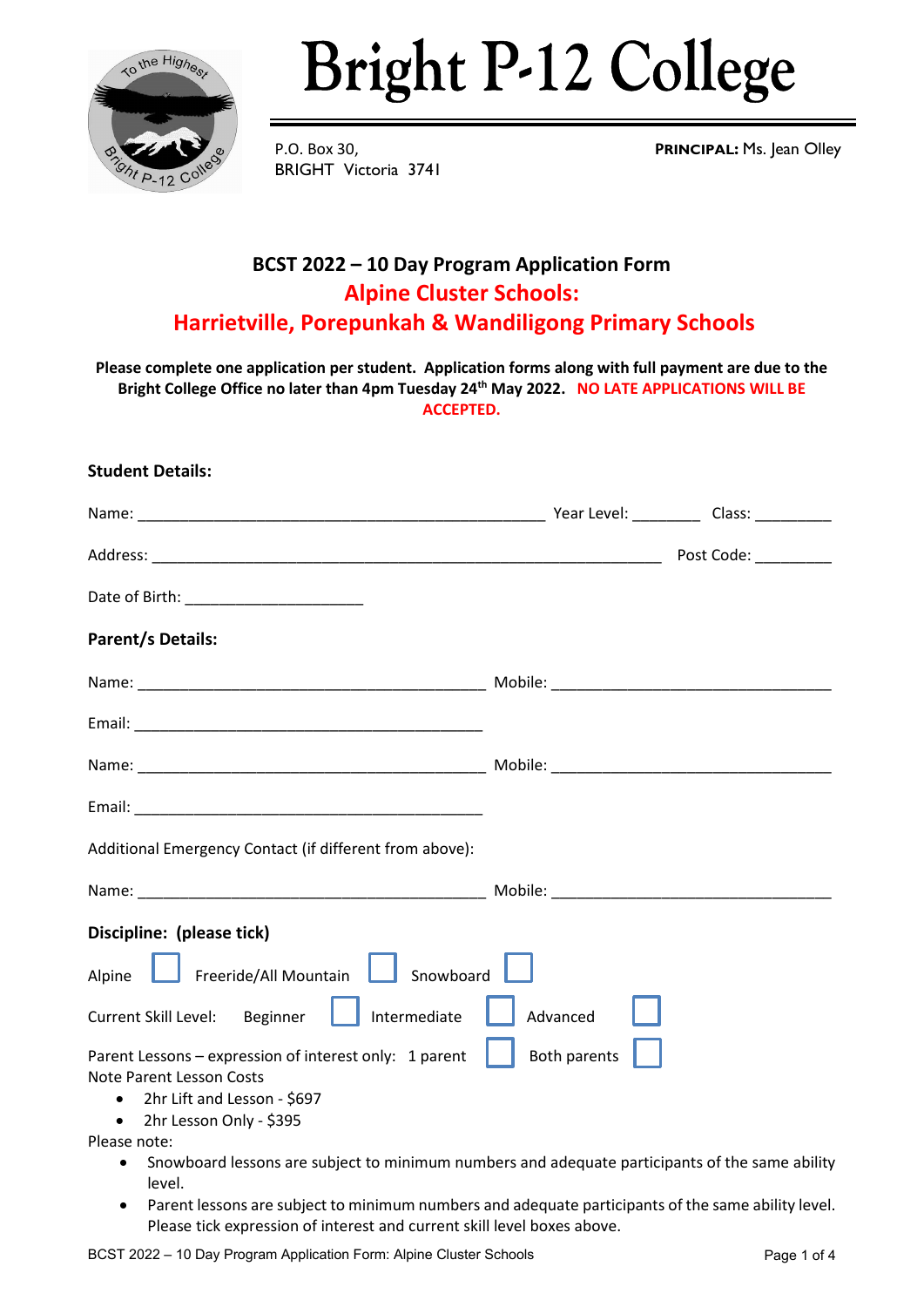

## **Bright P-12 College**

BRIGHT Victoria 3741

P.O. Box 30, **PRINCIPAL:** Ms. Jean Olley

## **BCST 2022 – 10 Day Program Application Form Alpine Cluster Schools: Harrietville, Porepunkah & Wandiligong Primary Schools**

**Please complete one application per student. Application forms along with full payment are due to the Bright College Office no later than 4pm Tuesday 24th May 2022. NO LATE APPLICATIONS WILL BE ACCEPTED.**

| <b>Student Details:</b> |  |
|-------------------------|--|
|                         |  |

|                                                                                                          | Post Code: _________ |
|----------------------------------------------------------------------------------------------------------|----------------------|
| Date of Birth: __________________________                                                                |                      |
| <b>Parent/s Details:</b>                                                                                 |                      |
|                                                                                                          |                      |
|                                                                                                          |                      |
|                                                                                                          |                      |
|                                                                                                          |                      |
| Additional Emergency Contact (if different from above):                                                  |                      |
|                                                                                                          |                      |
| Discipline: (please tick)                                                                                |                      |
| Alpine <b>Contract Alle Showboard</b> Freeride/All Mountain <b>Contract</b> Showboard                    |                      |
| Intermediate<br>Current Skill Level: Beginner                                                            | Advanced             |
| Parent Lessons - expression of interest only: 1 parent<br><b>Note Parent Lesson Costs</b>                | Both parents         |
| • 2hr Lift and Lesson - \$697<br>2hr Lesson Only - \$395<br>$\bullet$                                    |                      |
| Please note:                                                                                             |                      |
| Snowboard lessons are subject to minimum numbers and adequate participants of the same ability<br>level. |                      |

• Parent lessons are subject to minimum numbers and adequate participants of the same ability level. Please tick expression of interest and current skill level boxes above.

BCST 2022 - 10 Day Program Application Form: Alpine Cluster Schools **Page 1 of 4** Page 1 of 4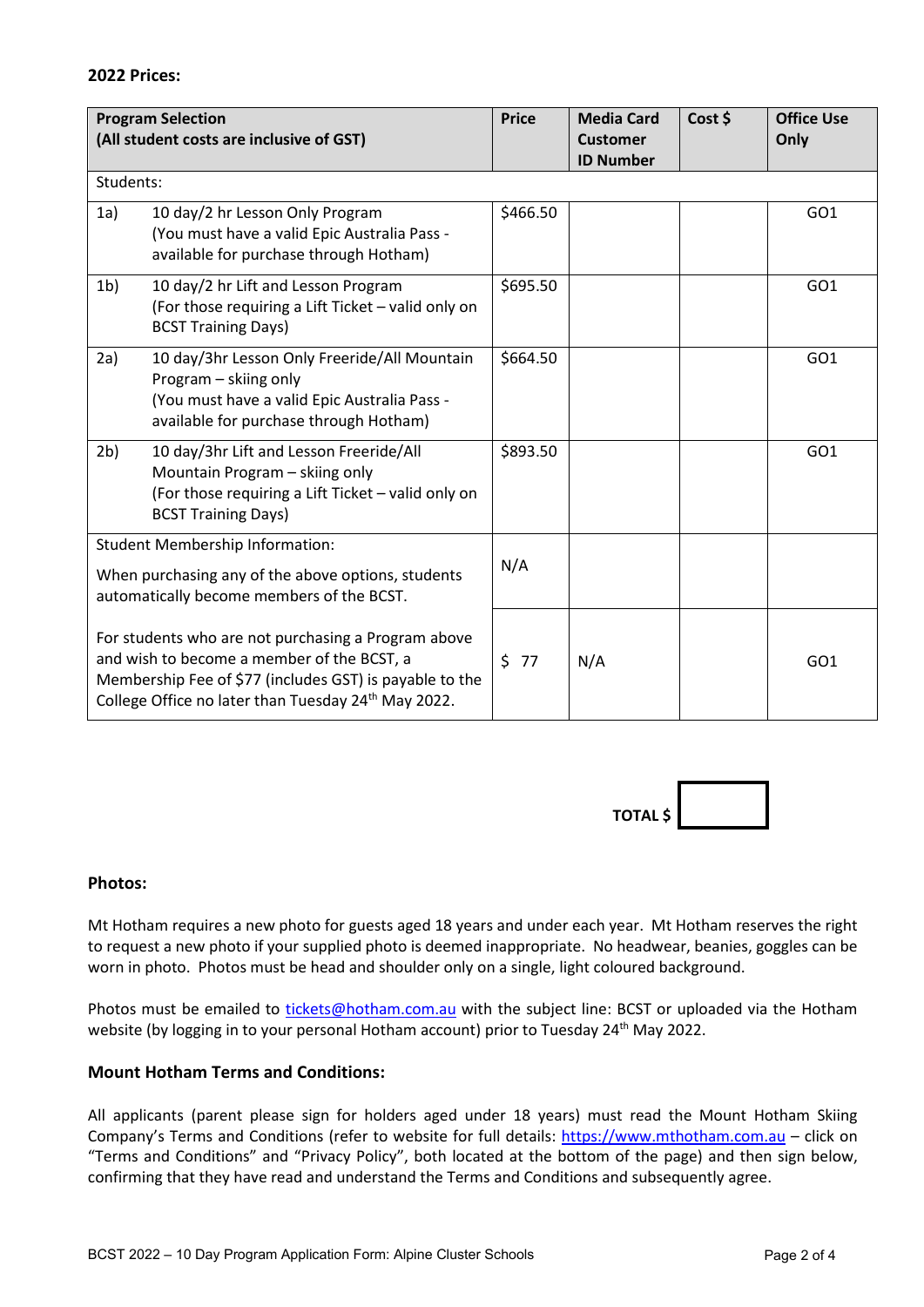|                | <b>Program Selection</b><br>(All student costs are inclusive of GST)                                                                                                                                                | <b>Price</b> | <b>Media Card</b><br><b>Customer</b><br><b>ID Number</b> | Cost \$ | <b>Office Use</b><br>Only |
|----------------|---------------------------------------------------------------------------------------------------------------------------------------------------------------------------------------------------------------------|--------------|----------------------------------------------------------|---------|---------------------------|
| Students:      |                                                                                                                                                                                                                     |              |                                                          |         |                           |
| 1a)            | 10 day/2 hr Lesson Only Program<br>(You must have a valid Epic Australia Pass -<br>available for purchase through Hotham)                                                                                           | \$466.50     |                                                          |         | GO <sub>1</sub>           |
| 1 <sub>b</sub> | 10 day/2 hr Lift and Lesson Program<br>(For those requiring a Lift Ticket - valid only on<br><b>BCST Training Days)</b>                                                                                             | \$695.50     |                                                          |         | GO <sub>1</sub>           |
| 2a)            | 10 day/3hr Lesson Only Freeride/All Mountain<br>Program - skiing only<br>(You must have a valid Epic Australia Pass -<br>available for purchase through Hotham)                                                     | \$664.50     |                                                          |         | GO <sub>1</sub>           |
| 2 <sub>b</sub> | 10 day/3hr Lift and Lesson Freeride/All<br>Mountain Program - skiing only<br>(For those requiring a Lift Ticket - valid only on<br><b>BCST Training Days)</b>                                                       | \$893.50     |                                                          |         | GO <sub>1</sub>           |
|                | <b>Student Membership Information:</b><br>When purchasing any of the above options, students<br>automatically become members of the BCST.                                                                           | N/A          |                                                          |         |                           |
|                | For students who are not purchasing a Program above<br>and wish to become a member of the BCST, a<br>Membership Fee of \$77 (includes GST) is payable to the<br>College Office no later than Tuesday 24th May 2022. | 577          | N/A                                                      |         | GO <sub>1</sub>           |



## **Photos:**

Mt Hotham requires a new photo for guests aged 18 years and under each year. Mt Hotham reserves the right to request a new photo if your supplied photo is deemed inappropriate. No headwear, beanies, goggles can be worn in photo. Photos must be head and shoulder only on a single, light coloured background.

Photos must be emailed to [tickets@hotham.com.au](mailto:tickets@hotham.com.au) with the subject line: BCST or uploaded via the Hotham website (by logging in to your personal Hotham account) prior to Tuesday 24<sup>th</sup> May 2022.

## **Mount Hotham Terms and Conditions:**

All applicants (parent please sign for holders aged under 18 years) must read the Mount Hotham Skiing Company's Terms and Conditions (refer to website for full details: [https://www.mthotham.com.au](https://www.mthotham.com.au/) – click on "Terms and Conditions" and "Privacy Policy", both located at the bottom of the page) and then sign below, confirming that they have read and understand the Terms and Conditions and subsequently agree.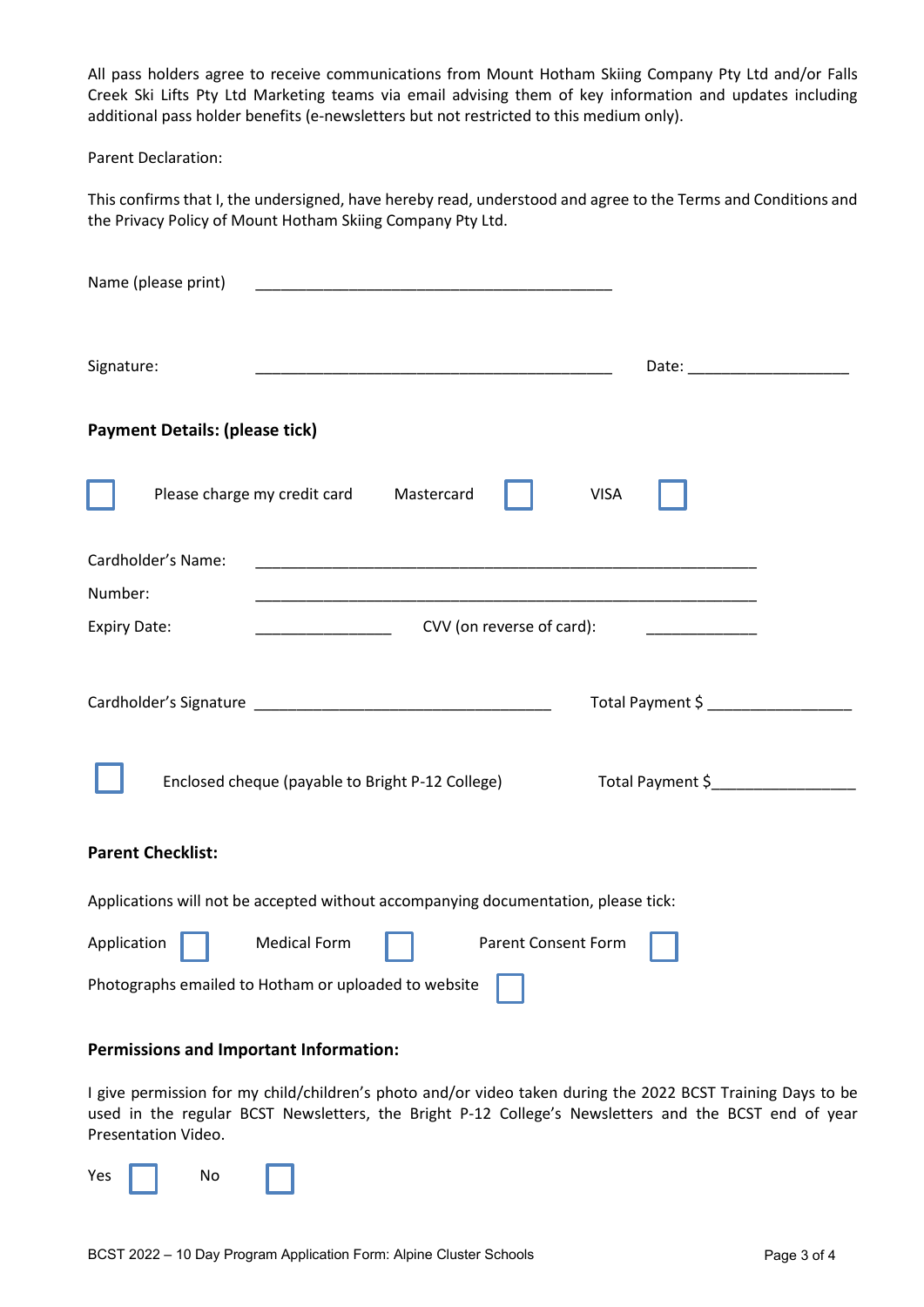All pass holders agree to receive communications from Mount Hotham Skiing Company Pty Ltd and/or Falls Creek Ski Lifts Pty Ltd Marketing teams via email advising them of key information and updates including additional pass holder benefits (e-newsletters but not restricted to this medium only).

Parent Declaration:

This confirms that I, the undersigned, have hereby read, understood and agree to the Terms and Conditions and the Privacy Policy of Mount Hotham Skiing Company Pty Ltd.

| Name (please print)                                                                |                                                                                                                       |  |  |  |  |
|------------------------------------------------------------------------------------|-----------------------------------------------------------------------------------------------------------------------|--|--|--|--|
| Signature:                                                                         |                                                                                                                       |  |  |  |  |
| <b>Payment Details: (please tick)</b>                                              |                                                                                                                       |  |  |  |  |
| Please charge my credit card<br>Mastercard                                         | <b>VISA</b>                                                                                                           |  |  |  |  |
| Cardholder's Name:                                                                 |                                                                                                                       |  |  |  |  |
| Number:                                                                            | <u> 1990 - Johann John Stone, markin film yn y system yn y system yn y system yn y system yn y system yn y system</u> |  |  |  |  |
| CVV (on reverse of card):<br><b>Expiry Date:</b>                                   | <u> 1980 - Jan Jan Jawa Barat, pre</u>                                                                                |  |  |  |  |
| Enclosed cheque (payable to Bright P-12 College)                                   | Total Payment \$ ____________________<br>Total Payment \$                                                             |  |  |  |  |
| <b>Parent Checklist:</b>                                                           |                                                                                                                       |  |  |  |  |
| Applications will not be accepted without accompanying documentation, please tick: |                                                                                                                       |  |  |  |  |
| <b>Medical Form</b><br><b>Parent Consent Form</b><br>Application                   |                                                                                                                       |  |  |  |  |
| Photographs emailed to Hotham or uploaded to website                               |                                                                                                                       |  |  |  |  |
| <b>Permissions and Important Information:</b>                                      |                                                                                                                       |  |  |  |  |

I give permission for my child/children's photo and/or video taken during the 2022 BCST Training Days to be used in the regular BCST Newsletters, the Bright P-12 College's Newsletters and the BCST end of year Presentation Video.

Yes **No**